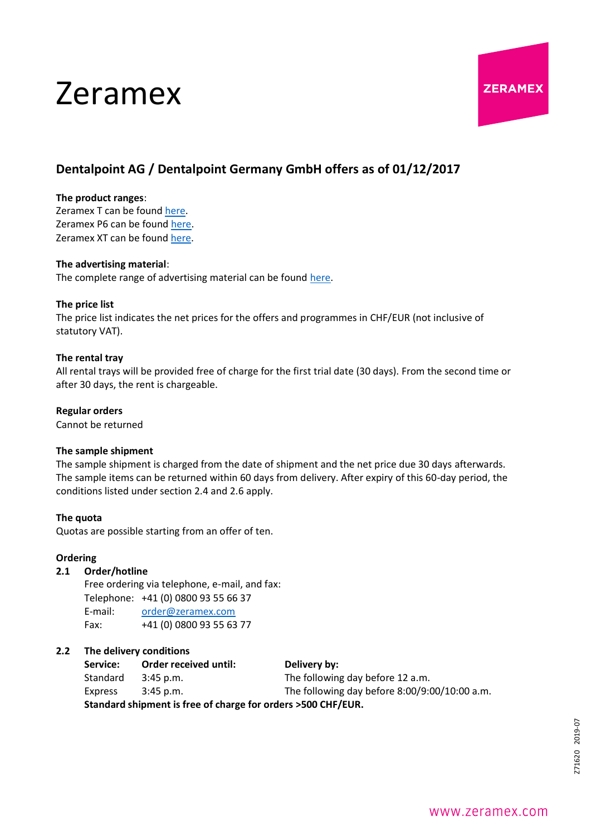# Zeramex



### **Dentalpoint AG / Dentalpoint Germany GmbH offers as of 01/12/2017**

#### **The product ranges**:

Zeramex T can be found [here.](https://www.zeramex.com/docs/en/media_downloads/offers_order/product_range_zeramex_t_en.pdf) Zeramex P6 can be found [here.](https://www.zeramex.com/docs/en/media_downloads/offers_order/product_range_zeramex_p6_en.pdf) Zeramex XT can be found [here.](https://www.zeramex.com/docs/en/media_downloads/offers_order/product_range_zeramex_xt_en.pdf)

#### **The advertising material**:

The complete range of advertising material can be found [here.](https://www.zeramex.com/en/dental_professionals/media_downloads.php)

#### **The price list**

The price list indicates the net prices for the offers and programmes in CHF/EUR (not inclusive of statutory VAT).

#### **The rental tray**

All rental trays will be provided free of charge for the first trial date (30 days). From the second time or after 30 days, the rent is chargeable.

#### **Regular orders**

Cannot be returned

#### **The sample shipment**

The sample shipment is charged from the date of shipment and the net price due 30 days afterwards. The sample items can be returned within 60 days from delivery. After expiry of this 60-day period, the conditions listed under section 2.4 and 2.6 apply.

#### **The quota**

Quotas are possible starting from an offer of ten.

#### **Ordering**

#### **2.1 Order/hotline**

Free ordering via telephone, e-mail, and fax: Telephone: +41 (0) 0800 93 55 66 37 E-mail: [order@zeramex.com](mailto:order@zeramex.com) Fax: +41 (0) 0800 93 55 63 77

#### **2.2 The delivery conditions**

Service: Order received until: Delivery by: Standard 3:45 p.m. The following day before 12 a.m. Express 3:45 p.m. The following day before 8:00/9:00/10:00 a.m.

**Standard shipment is free of charge for orders >500 CHF/EUR.**

## 271620 2019-07 Z71620 2019-07